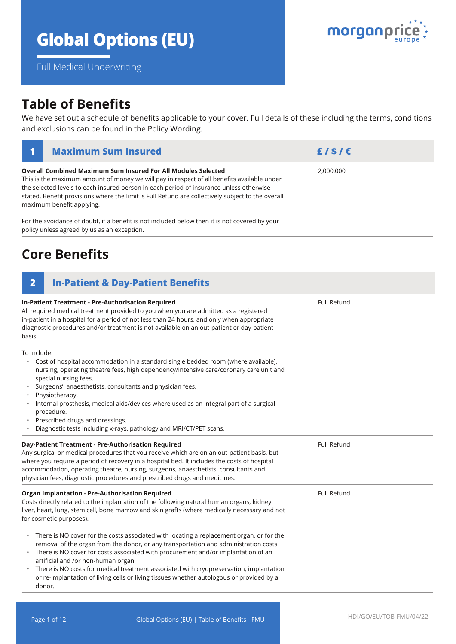# **Global Options (EU)**

**Overall Combined Maximum Sum Insured For All Modules Selected**

Full Medical Underwriting

# **Table of Benefits**

We have set out a schedule of benefits applicable to your cover. Full details of these including the terms, conditions and exclusions can be found in the Policy Wording.

| This is the maximum amount of money we will pay in respect of all benefits available under<br>the selected levels to each insured person in each period of insurance unless otherwise<br>stated. Benefit provisions where the limit is Full Refund are collectively subject to the overall<br>maximum benefit applying.                              |                    |  |  |  |
|------------------------------------------------------------------------------------------------------------------------------------------------------------------------------------------------------------------------------------------------------------------------------------------------------------------------------------------------------|--------------------|--|--|--|
| For the avoidance of doubt, if a benefit is not included below then it is not covered by your<br>policy unless agreed by us as an exception.                                                                                                                                                                                                         |                    |  |  |  |
| <b>Core Benefits</b>                                                                                                                                                                                                                                                                                                                                 |                    |  |  |  |
| $\overline{2}$<br><b>In-Patient &amp; Day-Patient Benefits</b>                                                                                                                                                                                                                                                                                       |                    |  |  |  |
| <b>In-Patient Treatment - Pre-Authorisation Required</b><br>All required medical treatment provided to you when you are admitted as a registered<br>in-patient in a hospital for a period of not less than 24 hours, and only when appropriate<br>diagnostic procedures and/or treatment is not available on an out-patient or day-patient<br>basis. | <b>Full Refund</b> |  |  |  |
| To include:<br>Cost of hospital accommodation in a standard single bedded room (where available),<br>$\bullet$<br>nursing, operating theatre fees, high dependency/intensive care/coronary care unit and<br>special nursing fees.                                                                                                                    |                    |  |  |  |

- Surgeons', anaesthetists, consultants and physician fees.
- Physiotherapy.
- Internal prosthesis, medical aids/devices where used as an integral part of a surgical procedure.
- Prescribed drugs and dressings.
- Diagnostic tests including x-rays, pathology and MRI/CT/PET scans.

| Day-Patient Treatment - Pre-Authorisation Required<br>Any surgical or medical procedures that you receive which are on an out-patient basis, but<br>where you require a period of recovery in a hospital bed. It includes the costs of hospital<br>accommodation, operating theatre, nursing, surgeons, anaesthetists, consultants and<br>physician fees, diagnostic procedures and prescribed drugs and medicines.                                                                                     | Full Refund |  |
|---------------------------------------------------------------------------------------------------------------------------------------------------------------------------------------------------------------------------------------------------------------------------------------------------------------------------------------------------------------------------------------------------------------------------------------------------------------------------------------------------------|-------------|--|
| <b>Organ Implantation - Pre-Authorisation Required</b><br>Costs directly related to the implantation of the following natural human organs; kidney,<br>liver, heart, lung, stem cell, bone marrow and skin grafts (where medically necessary and not<br>for cosmetic purposes).                                                                                                                                                                                                                         | Full Refund |  |
| There is NO cover for the costs associated with locating a replacement organ, or for the<br>٠<br>removal of the organ from the donor, or any transportation and administration costs.<br>There is NO cover for costs associated with procurement and/or implantation of an<br>artificial and /or non-human organ.<br>There is NO costs for medical treatment associated with cryopreservation, implantation<br>or re-implantation of living cells or living tissues whether autologous or provided by a |             |  |



2,000,000

**1 Maximum Sum Insured £ / \$ / €**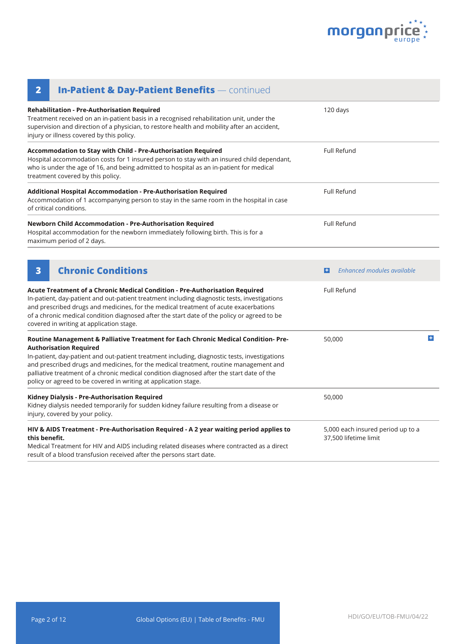

| <b>In-Patient &amp; Day-Patient Benefits</b> — continued<br>$\overline{\mathbf{2}}$                                                                                                                                                                                                                                                                                                                                                                                           |                                                            |   |  |
|-------------------------------------------------------------------------------------------------------------------------------------------------------------------------------------------------------------------------------------------------------------------------------------------------------------------------------------------------------------------------------------------------------------------------------------------------------------------------------|------------------------------------------------------------|---|--|
| Rehabilitation - Pre-Authorisation Required<br>Treatment received on an in-patient basis in a recognised rehabilitation unit, under the<br>supervision and direction of a physician, to restore health and mobility after an accident,<br>injury or illness covered by this policy.                                                                                                                                                                                           | 120 days                                                   |   |  |
| Accommodation to Stay with Child - Pre-Authorisation Required<br>Hospital accommodation costs for 1 insured person to stay with an insured child dependant,<br>who is under the age of 16, and being admitted to hospital as an in-patient for medical<br>treatment covered by this policy.                                                                                                                                                                                   | <b>Full Refund</b>                                         |   |  |
| Additional Hospital Accommodation - Pre-Authorisation Required<br>Accommodation of 1 accompanying person to stay in the same room in the hospital in case<br>of critical conditions.                                                                                                                                                                                                                                                                                          | Full Refund                                                |   |  |
| Newborn Child Accommodation - Pre-Authorisation Required<br>Hospital accommodation for the newborn immediately following birth. This is for a<br>maximum period of 2 days.                                                                                                                                                                                                                                                                                                    | <b>Full Refund</b>                                         |   |  |
| <b>Chronic Conditions</b><br>3                                                                                                                                                                                                                                                                                                                                                                                                                                                | Enhanced modules available<br>$\left  \bm{+} \right $      |   |  |
| Acute Treatment of a Chronic Medical Condition - Pre-Authorisation Required<br>In-patient, day-patient and out-patient treatment including diagnostic tests, investigations<br>and prescribed drugs and medicines, for the medical treatment of acute exacerbations<br>of a chronic medical condition diagnosed after the start date of the policy or agreed to be<br>covered in writing at application stage.                                                                | <b>Full Refund</b>                                         |   |  |
| Routine Management & Palliative Treatment for Each Chronic Medical Condition- Pre-<br><b>Authorisation Required</b><br>In-patient, day-patient and out-patient treatment including, diagnostic tests, investigations<br>and prescribed drugs and medicines, for the medical treatment, routine management and<br>palliative treatment of a chronic medical condition diagnosed after the start date of the<br>policy or agreed to be covered in writing at application stage. | 50,000                                                     | ÷ |  |
| Kidney Dialysis - Pre-Authorisation Required<br>Kidney dialysis needed temporarily for sudden kidney failure resulting from a disease or<br>injury, covered by your policy.                                                                                                                                                                                                                                                                                                   | 50,000                                                     |   |  |
| HIV & AIDS Treatment - Pre-Authorisation Required - A 2 year waiting period applies to<br>this benefit.<br>Medical Treatment for HIV and AIDS including related diseases where contracted as a direct<br>result of a blood transfusion received after the persons start date.                                                                                                                                                                                                 | 5,000 each insured period up to a<br>37,500 lifetime limit |   |  |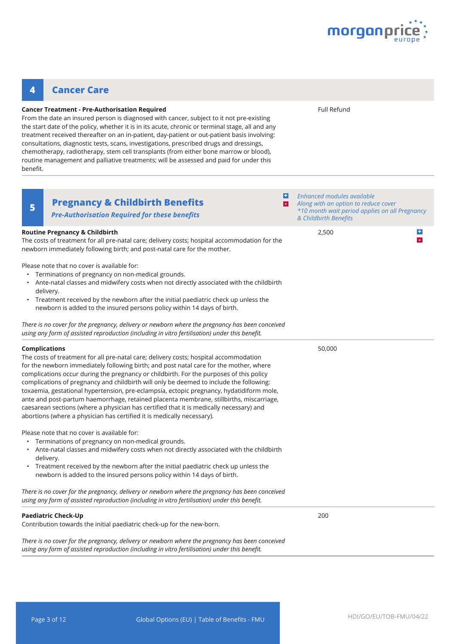

#### **Pregnancy & Childbirth Benefits <sup>5</sup> + -** *Enhanced modules available Along with an option to reduce cover \*10 month wait period applies on all Pregnancy & Childbirth Benefits* **Routine Pregnancy & Childbirth** The costs of treatment for all pre-natal care; delivery costs; hospital accommodation for the newborn immediately following birth; and post-natal care for the mother. Please note that no cover is available for: • Terminations of pregnancy on non-medical grounds. • Ante-natal classes and midwifery costs when not directly associated with the childbirth delivery. • Treatment received by the newborn after the initial paediatric check up unless the newborn is added to the insured persons policy within 14 days of birth. *There is no cover for the pregnancy, delivery or newborn where the pregnancy has been conceived using any form of assisted reproduction (including in vitro fertilisation) under this benefit.*  2,500 **Complications** The costs of treatment for all pre-natal care; delivery costs; hospital accommodation for the newborn immediately following birth; and post natal care for the mother, where complications occur during the pregnancy or childbirth. For the purposes of this policy complications of pregnancy and childbirth will only be deemed to include the following: toxaemia, gestational hypertension, pre-eclampsia, ectopic pregnancy, hydatidiform mole, ante and post-partum haemorrhage, retained placenta membrane, stillbirths, miscarriage, caesarean sections (where a physician has certified that it is medically necessary) and abortions (where a physician has certified it is medically necessary). Please note that no cover is available for: • Terminations of pregnancy on non-medical grounds. • Ante-natal classes and midwifery costs when not directly associated with the childbirth delivery. • Treatment received by the newborn after the initial paediatric check up unless the newborn is added to the insured persons policy within 14 days of birth. *There is no cover for the pregnancy, delivery or newborn where the pregnancy has been conceived using any form of assisted reproduction (including in vitro fertilisation) under this benefit.*  50,000 **Paediatric Check-Up** Contribution towards the initial paediatric check-up for the new-born. *There is no cover for the pregnancy, delivery or newborn where the pregnancy has been conceived using any form of assisted reproduction (including in vitro fertilisation) under this benefit.*  200 **+ - Cancer Treatment - Pre-Authorisation Required** From the date an insured person is diagnosed with cancer, subject to it not pre-existing the start date of the policy, whether it is in its acute, chronic or terminal stage, all and any treatment received thereafter on an in-patient, day-patient or out-patient basis involving: consultations, diagnostic tests, scans, investigations, prescribed drugs and dressings, chemotherapy, radiotherapy, stem cell transplants (from either bone marrow or blood), routine management and palliative treatments; will be assessed and paid for under this benefit. Full Refund **4 Cancer Care** *Pre-Authorisation Required for these benefits*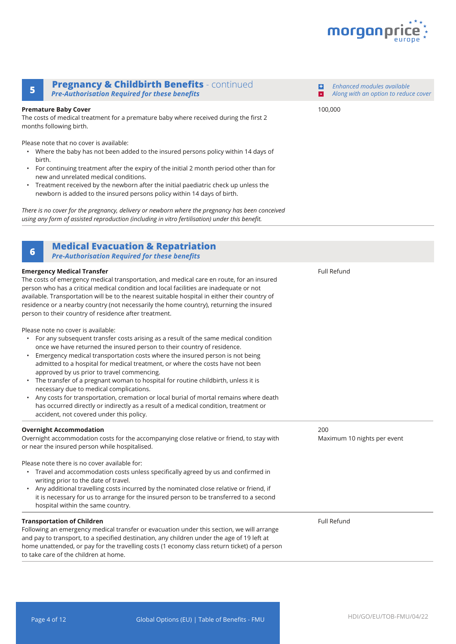

*Enhanced modules available Along with an option to reduce cover*

100,000

**+**

#### **Pregnancy & Childbirth Benefits** - continued **<sup>5</sup> -** *Pre-Authorisation Required for these benefits*

#### **Premature Baby Cover**

The costs of medical treatment for a premature baby where received during the first 2 months following birth.

Please note that no cover is available:

- Where the baby has not been added to the insured persons policy within 14 days of birth.
- For continuing treatment after the expiry of the initial 2 month period other than for new and unrelated medical conditions.
- Treatment received by the newborn after the initial paediatric check up unless the newborn is added to the insured persons policy within 14 days of birth.

*There is no cover for the pregnancy, delivery or newborn where the pregnancy has been conceived using any form of assisted reproduction (including in vitro fertilisation) under this benefit.* 

### **Medical Evacuation & Repatriation <sup>6</sup>**

*Pre-Authorisation Required for these benefits*

#### **Emergency Medical Transfer** The costs of emergency medical transportation, and medical care en route, for an insured person who has a critical medical condition and local facilities are inadequate or not available. Transportation will be to the nearest suitable hospital in either their country of residence or a nearby country (not necessarily the home country), returning the insured person to their country of residence after treatment. Please note no cover is available: • For any subsequent transfer costs arising as a result of the same medical condition once we have returned the insured person to their country of residence. • Emergency medical transportation costs where the insured person is not being admitted to a hospital for medical treatment, or where the costs have not been approved by us prior to travel commencing. • The transfer of a pregnant woman to hospital for routine childbirth, unless it is necessary due to medical complications. • Any costs for transportation, cremation or local burial of mortal remains where death has occurred directly or indirectly as a result of a medical condition, treatment or accident, not covered under this policy. Full Refund **Overnight Accommodation** Overnight accommodation costs for the accompanying close relative or friend, to stay with or near the insured person while hospitalised. Please note there is no cover available for: • Travel and accommodation costs unless specifically agreed by us and confirmed in writing prior to the date of travel. • Any additional travelling costs incurred by the nominated close relative or friend, if it is necessary for us to arrange for the insured person to be transferred to a second hospital within the same country. 200 Maximum 10 nights per event **Transportation of Children** Following an emergency medical transfer or evacuation under this section, we will arrange and pay to transport, to a specified destination, any children under the age of 19 left at home unattended, or pay for the travelling costs (1 economy class return ticket) of a person to take care of the children at home. Full Refund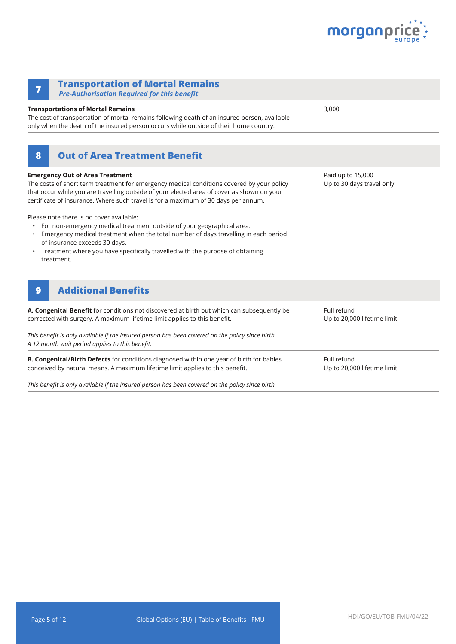

| <b>Transportation of Mortal Remains</b><br>7<br><b>Pre-Authorisation Required for this benefit</b>                                                                                                                                                                                                                                                                                                                                                                                                                                                                                                                                                                   |                                                |
|----------------------------------------------------------------------------------------------------------------------------------------------------------------------------------------------------------------------------------------------------------------------------------------------------------------------------------------------------------------------------------------------------------------------------------------------------------------------------------------------------------------------------------------------------------------------------------------------------------------------------------------------------------------------|------------------------------------------------|
| <b>Transportations of Mortal Remains</b><br>The cost of transportation of mortal remains following death of an insured person, available<br>only when the death of the insured person occurs while outside of their home country.                                                                                                                                                                                                                                                                                                                                                                                                                                    | 3,000                                          |
| <b>Out of Area Treatment Benefit</b><br>8                                                                                                                                                                                                                                                                                                                                                                                                                                                                                                                                                                                                                            |                                                |
| <b>Emergency Out of Area Treatment</b><br>The costs of short term treatment for emergency medical conditions covered by your policy<br>that occur while you are travelling outside of your elected area of cover as shown on your<br>certificate of insurance. Where such travel is for a maximum of 30 days per annum.<br>Please note there is no cover available:<br>For non-emergency medical treatment outside of your geographical area.<br>Emergency medical treatment when the total number of days travelling in each period<br>of insurance exceeds 30 days.<br>Treatment where you have specifically travelled with the purpose of obtaining<br>treatment. | Paid up to 15,000<br>Up to 30 days travel only |
| <b>Additional Benefits</b><br>$\boldsymbol{9}$                                                                                                                                                                                                                                                                                                                                                                                                                                                                                                                                                                                                                       |                                                |
| A. Congenital Benefit for conditions not discovered at birth but which can subsequently be<br>corrected with surgery. A maximum lifetime limit applies to this benefit.                                                                                                                                                                                                                                                                                                                                                                                                                                                                                              | Full refund<br>Up to 20,000 lifetime limit     |
| This benefit is only available if the insured person has been covered on the policy since birth.<br>A 12 month wait period applies to this benefit.                                                                                                                                                                                                                                                                                                                                                                                                                                                                                                                  |                                                |
| B. Congenital/Birth Defects for conditions diagnosed within one year of birth for babies<br>conceived by natural means. A maximum lifetime limit applies to this benefit.                                                                                                                                                                                                                                                                                                                                                                                                                                                                                            | Full refund<br>Up to 20,000 lifetime limit     |

*This benefit is only available if the insured person has been covered on the policy since birth.*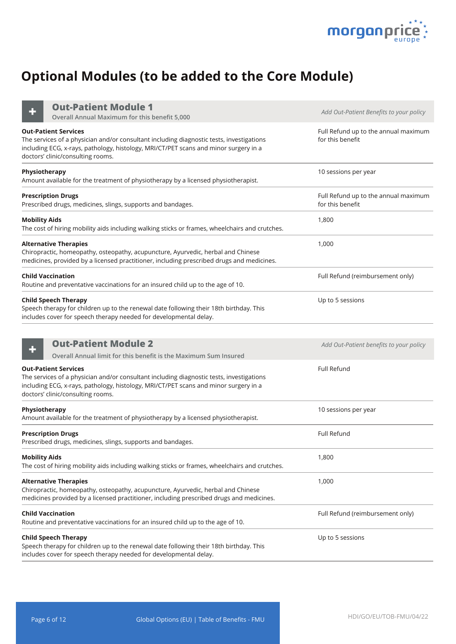

# **Optional Modules (to be added to the Core Module)**

**Out-Patient Module 1**

| <b>Out-Patient Module 1</b><br>Overall Annual Maximum for this benefit 5,000                                                                                                                                                                         | Add Out-Patient Benefits to your policy                  |
|------------------------------------------------------------------------------------------------------------------------------------------------------------------------------------------------------------------------------------------------------|----------------------------------------------------------|
| <b>Out-Patient Services</b><br>The services of a physician and/or consultant including diagnostic tests, investigations<br>including ECG, x-rays, pathology, histology, MRI/CT/PET scans and minor surgery in a<br>doctors' clinic/consulting rooms. | Full Refund up to the annual maximum<br>for this benefit |
| Physiotherapy<br>Amount available for the treatment of physiotherapy by a licensed physiotherapist.                                                                                                                                                  | 10 sessions per year                                     |
| <b>Prescription Drugs</b><br>Prescribed drugs, medicines, slings, supports and bandages.                                                                                                                                                             | Full Refund up to the annual maximum<br>for this benefit |
| <b>Mobility Aids</b><br>The cost of hiring mobility aids including walking sticks or frames, wheelchairs and crutches.                                                                                                                               | 1,800                                                    |
| <b>Alternative Therapies</b><br>Chiropractic, homeopathy, osteopathy, acupuncture, Ayurvedic, herbal and Chinese<br>medicines, provided by a licensed practitioner, including prescribed drugs and medicines.                                        | 1,000                                                    |
| <b>Child Vaccination</b><br>Routine and preventative vaccinations for an insured child up to the age of 10.                                                                                                                                          | Full Refund (reimbursement only)                         |
| <b>Child Speech Therapy</b><br>Speech therapy for children up to the renewal date following their 18th birthday. This<br>includes cover for speech therapy needed for developmental delay.                                                           | Up to 5 sessions                                         |
| <b>Out-Patient Module 2</b><br>Overall Annual limit for this benefit is the Maximum Sum Insured                                                                                                                                                      | Add Out-Patient benefits to your policy                  |
| <b>Out-Patient Services</b><br>The services of a physician and/or consultant including diagnostic tests, investigations<br>including ECG, x-rays, pathology, histology, MRI/CT/PET scans and minor surgery in a<br>doctors' clinic/consulting rooms. | Full Refund                                              |
| Physiotherapy<br>Amount available for the treatment of physiotherapy by a licensed physiotherapist.                                                                                                                                                  | 10 sessions per year                                     |
| <b>Prescription Drugs</b><br>Prescribed drugs, medicines, slings, supports and bandages.                                                                                                                                                             | Full Refund                                              |
| <b>Mobility Aids</b><br>The cost of hiring mobility aids including walking sticks or frames, wheelchairs and crutches.                                                                                                                               | 1,800                                                    |
| <b>Alternative Therapies</b><br>Chiropractic, homeopathy, osteopathy, acupuncture, Ayurvedic, herbal and Chinese<br>medicines provided by a licensed practitioner, including prescribed drugs and medicines.                                         | 1,000                                                    |
| <b>Child Vaccination</b><br>Routine and preventative vaccinations for an insured child up to the age of 10.                                                                                                                                          | Full Refund (reimbursement only)                         |
| <b>Child Speech Therapy</b><br>Speech therapy for children up to the renewal date following their 18th birthday. This<br>includes cover for speech therapy needed for developmental delay.                                                           | Up to 5 sessions                                         |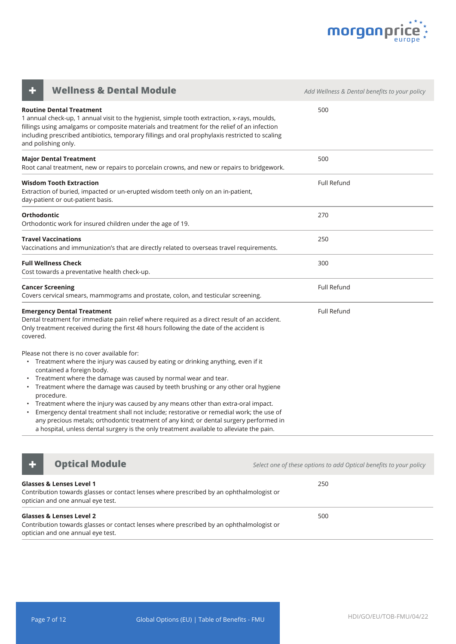

| <b>Wellness &amp; Dental Module</b>                                                                                                                                                                                                                                                                                                                                                                                                                                                                                                                                                                                                                                                                         | Add Wellness & Dental benefits to your policy |
|-------------------------------------------------------------------------------------------------------------------------------------------------------------------------------------------------------------------------------------------------------------------------------------------------------------------------------------------------------------------------------------------------------------------------------------------------------------------------------------------------------------------------------------------------------------------------------------------------------------------------------------------------------------------------------------------------------------|-----------------------------------------------|
| <b>Routine Dental Treatment</b><br>1 annual check-up, 1 annual visit to the hygienist, simple tooth extraction, x-rays, moulds,<br>fillings using amalgams or composite materials and treatment for the relief of an infection<br>including prescribed antibiotics, temporary fillings and oral prophylaxis restricted to scaling<br>and polishing only.                                                                                                                                                                                                                                                                                                                                                    | 500                                           |
| <b>Major Dental Treatment</b><br>Root canal treatment, new or repairs to porcelain crowns, and new or repairs to bridgework.                                                                                                                                                                                                                                                                                                                                                                                                                                                                                                                                                                                | 500                                           |
| <b>Wisdom Tooth Extraction</b><br>Extraction of buried, impacted or un-erupted wisdom teeth only on an in-patient,<br>day-patient or out-patient basis.                                                                                                                                                                                                                                                                                                                                                                                                                                                                                                                                                     | <b>Full Refund</b>                            |
| Orthodontic<br>Orthodontic work for insured children under the age of 19.                                                                                                                                                                                                                                                                                                                                                                                                                                                                                                                                                                                                                                   | 270                                           |
| <b>Travel Vaccinations</b><br>Vaccinations and immunization's that are directly related to overseas travel requirements.                                                                                                                                                                                                                                                                                                                                                                                                                                                                                                                                                                                    | 250                                           |
| <b>Full Wellness Check</b><br>Cost towards a preventative health check-up.                                                                                                                                                                                                                                                                                                                                                                                                                                                                                                                                                                                                                                  | 300                                           |
| <b>Cancer Screening</b><br>Covers cervical smears, mammograms and prostate, colon, and testicular screening.                                                                                                                                                                                                                                                                                                                                                                                                                                                                                                                                                                                                | Full Refund                                   |
| <b>Emergency Dental Treatment</b><br>Dental treatment for immediate pain relief where required as a direct result of an accident.<br>Only treatment received during the first 48 hours following the date of the accident is<br>covered.                                                                                                                                                                                                                                                                                                                                                                                                                                                                    | Full Refund                                   |
| Please not there is no cover available for:<br>• Treatment where the injury was caused by eating or drinking anything, even if it<br>contained a foreign body.<br>Treatment where the damage was caused by normal wear and tear.<br>• Treatment where the damage was caused by teeth brushing or any other oral hygiene<br>procedure.<br>• Treatment where the injury was caused by any means other than extra-oral impact.<br>Emergency dental treatment shall not include; restorative or remedial work; the use of<br>any precious metals; orthodontic treatment of any kind; or dental surgery performed in<br>a hospital, unless dental surgery is the only treatment available to alleviate the pain. |                                               |



**+ Optical Module** *Continued Module Select one of these options to add Optical benefits to your policy* 

| <b>Glasses &amp; Lenses Level 1</b><br>Contribution towards glasses or contact lenses where prescribed by an ophthalmologist or<br>optician and one annual eye test. | 250 |
|----------------------------------------------------------------------------------------------------------------------------------------------------------------------|-----|
| <b>Glasses &amp; Lenses Level 2</b><br>Contribution towards glasses or contact lenses where prescribed by an ophthalmologist or<br>optician and one annual eye test. | 500 |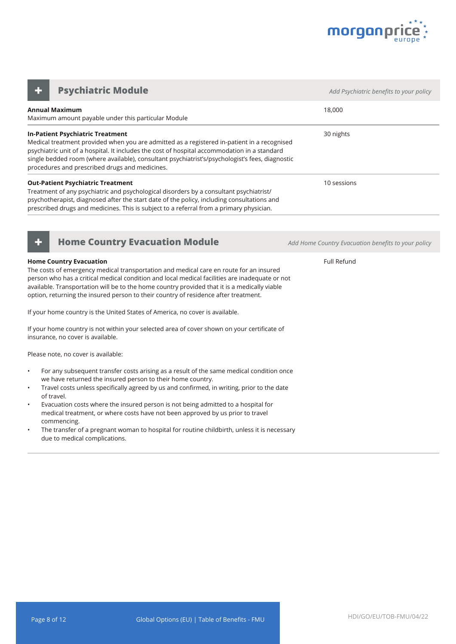

**Annual Maximum** Maximum amount payable under this particular Module 18,000 **In-Patient Psychiatric Treatment** Medical treatment provided when you are admitted as a registered in-patient in a recognised psychiatric unit of a hospital. It includes the cost of hospital accommodation in a standard single bedded room (where available), consultant psychiatrist's/psychologist's fees, diagnostic procedures and prescribed drugs and medicines. 30 nights **Out-Patient Psychiatric Treatment** Treatment of any psychiatric and psychological disorders by a consultant psychiatrist/ psychotherapist, diagnosed after the start date of the policy, including consultations and prescribed drugs and medicines. This is subject to a referral from a primary physician. 10 sessions **Psychiatric Module** *CONDUCTER <b>Adders Add Psychiatric benefits to your policy Adderson in the Add Psychiatric benefits to your policy* 



#### **Home Country Evacuation**

The costs of emergency medical transportation and medical care en route for an insured person who has a critical medical condition and local medical facilities are inadequate or not available. Transportation will be to the home country provided that it is a medically viable option, returning the insured person to their country of residence after treatment.

If your home country is the United States of America, no cover is available.

If your home country is not within your selected area of cover shown on your certificate of insurance, no cover is available.

Please note, no cover is available:

- For any subsequent transfer costs arising as a result of the same medical condition once we have returned the insured person to their home country.
- Travel costs unless specifically agreed by us and confirmed, in writing, prior to the date of travel.
- Evacuation costs where the insured person is not being admitted to a hospital for medical treatment, or where costs have not been approved by us prior to travel commencing.
- The transfer of a pregnant woman to hospital for routine childbirth, unless it is necessary due to medical complications.

**+ Home Country Evacuation Module** *Add Home Country Evacuation benefits to your policy*

Full Refund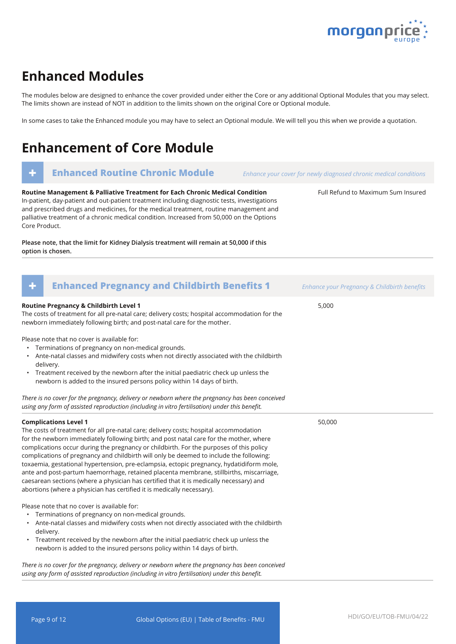

Full Refund to Maximum Sum Insured

### **Enhanced Modules**

The modules below are designed to enhance the cover provided under either the Core or any additional Optional Modules that you may select. The limits shown are instead of NOT in addition to the limits shown on the original Core or Optional module.

In some cases to take the Enhanced module you may have to select an Optional module. We will tell you this when we provide a quotation.

# **Enhancement of Core Module**

### **Enhanced Routine Chronic Module** *Enhance your cover for newly diagnosed chronic medical conditions*

**Routine Management & Palliative Treatment for Each Chronic Medical Condition** In-patient, day-patient and out-patient treatment including diagnostic tests, investigations and prescribed drugs and medicines, for the medical treatment, routine management and palliative treatment of a chronic medical condition. Increased from 50,000 on the Options Core Product.

**Please note, that the limit for Kidney Dialysis treatment will remain at 50,000 if this option is chosen.**

| <b>Enhanced Pregnancy and Childbirth Benefits 1</b><br>۰                                                                                                                                                                                                                                                                                                                                                                                                                                                                                                                                                                                                                                                                                                          | Enhance your Pregnancy & Childbirth benefits |
|-------------------------------------------------------------------------------------------------------------------------------------------------------------------------------------------------------------------------------------------------------------------------------------------------------------------------------------------------------------------------------------------------------------------------------------------------------------------------------------------------------------------------------------------------------------------------------------------------------------------------------------------------------------------------------------------------------------------------------------------------------------------|----------------------------------------------|
| Routine Pregnancy & Childbirth Level 1<br>The costs of treatment for all pre-natal care; delivery costs; hospital accommodation for the<br>newborn immediately following birth; and post-natal care for the mother.                                                                                                                                                                                                                                                                                                                                                                                                                                                                                                                                               | 5,000                                        |
| Please note that no cover is available for:<br>• Terminations of pregnancy on non-medical grounds.<br>• Ante-natal classes and midwifery costs when not directly associated with the childbirth<br>delivery.<br>• Treatment received by the newborn after the initial paediatric check up unless the<br>newborn is added to the insured persons policy within 14 days of birth.                                                                                                                                                                                                                                                                                                                                                                                   |                                              |
| There is no cover for the pregnancy, delivery or newborn where the pregnancy has been conceived<br>using any form of assisted reproduction (including in vitro fertilisation) under this benefit.                                                                                                                                                                                                                                                                                                                                                                                                                                                                                                                                                                 |                                              |
| <b>Complications Level 1</b><br>The costs of treatment for all pre-natal care; delivery costs; hospital accommodation<br>for the newborn immediately following birth; and post natal care for the mother, where<br>complications occur during the pregnancy or childbirth. For the purposes of this policy<br>complications of pregnancy and childbirth will only be deemed to include the following:<br>toxaemia, gestational hypertension, pre-eclampsia, ectopic pregnancy, hydatidiform mole,<br>ante and post-partum haemorrhage, retained placenta membrane, stillbirths, miscarriage,<br>caesarean sections (where a physician has certified that it is medically necessary) and<br>abortions (where a physician has certified it is medically necessary). | 50,000                                       |
| Please note that no cover is available for:<br>• Terminations of pregnancy on non-medical grounds.<br>Ante-natal classes and midwifery costs when not directly associated with the childbirth<br>delivery.<br>• Treatment received by the newborn after the initial paediatric check up unless the<br>newborn is added to the insured persons policy within 14 days of birth.<br>There is no cover for the pregnancy, delivery or newhorn where the pregnancy has heen conceived                                                                                                                                                                                                                                                                                  |                                              |

*There is no cover for the pregnancy, delivery or newborn where the pregnancy has been conceived using any form of assisted reproduction (including in vitro fertilisation) under this benefit.*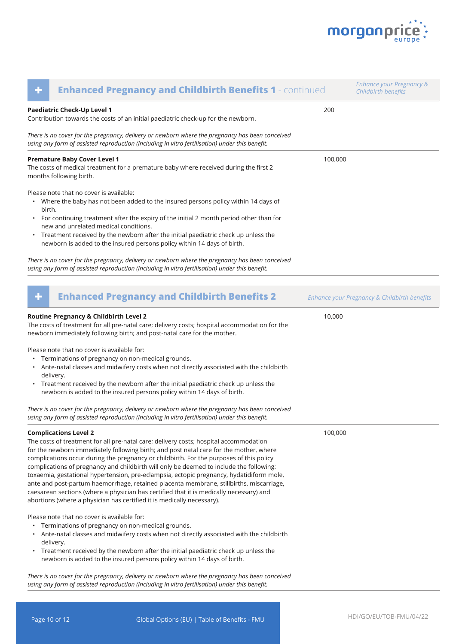

| <b>Enhanced Pregnancy and Childbirth Benefits 1 - continued</b><br>٠                                                                                                                                                                                                                                                                                                                                                                                                                                                                                                                                                                                                                                                                                              | <b>Enhance your Pregnancy &amp;</b><br>Childbirth benefits |
|-------------------------------------------------------------------------------------------------------------------------------------------------------------------------------------------------------------------------------------------------------------------------------------------------------------------------------------------------------------------------------------------------------------------------------------------------------------------------------------------------------------------------------------------------------------------------------------------------------------------------------------------------------------------------------------------------------------------------------------------------------------------|------------------------------------------------------------|
| Paediatric Check-Up Level 1<br>Contribution towards the costs of an initial paediatric check-up for the newborn.                                                                                                                                                                                                                                                                                                                                                                                                                                                                                                                                                                                                                                                  | 200                                                        |
| There is no cover for the pregnancy, delivery or newborn where the pregnancy has been conceived<br>using any form of assisted reproduction (including in vitro fertilisation) under this benefit.                                                                                                                                                                                                                                                                                                                                                                                                                                                                                                                                                                 |                                                            |
| <b>Premature Baby Cover Level 1</b><br>The costs of medical treatment for a premature baby where received during the first 2<br>months following birth.                                                                                                                                                                                                                                                                                                                                                                                                                                                                                                                                                                                                           | 100,000                                                    |
| Please note that no cover is available:<br>• Where the baby has not been added to the insured persons policy within 14 days of<br>birth.<br>For continuing treatment after the expiry of the initial 2 month period other than for<br>new and unrelated medical conditions.<br>Treatment received by the newborn after the initial paediatric check up unless the<br>$\bullet$<br>newborn is added to the insured persons policy within 14 days of birth.                                                                                                                                                                                                                                                                                                         |                                                            |
| There is no cover for the pregnancy, delivery or newborn where the pregnancy has been conceived<br>using any form of assisted reproduction (including in vitro fertilisation) under this benefit.                                                                                                                                                                                                                                                                                                                                                                                                                                                                                                                                                                 |                                                            |
| <b>Enhanced Pregnancy and Childbirth Benefits 2</b><br>٠                                                                                                                                                                                                                                                                                                                                                                                                                                                                                                                                                                                                                                                                                                          | Enhance your Pregnancy & Childbirth benefits               |
| Routine Pregnancy & Childbirth Level 2<br>The costs of treatment for all pre-natal care; delivery costs; hospital accommodation for the<br>newborn immediately following birth; and post-natal care for the mother.<br>Please note that no cover is available for:<br>Terminations of pregnancy on non-medical grounds.<br>Ante-natal classes and midwifery costs when not directly associated with the childbirth<br>delivery.<br>Treatment received by the newborn after the initial paediatric check up unless the<br>٠<br>newborn is added to the insured persons policy within 14 days of birth.                                                                                                                                                             | 10,000                                                     |
| There is no cover for the pregnancy, delivery or newborn where the pregnancy has been conceived<br>using any form of assisted reproduction (including in vitro fertilisation) under this benefit.                                                                                                                                                                                                                                                                                                                                                                                                                                                                                                                                                                 |                                                            |
| <b>Complications Level 2</b><br>The costs of treatment for all pre-natal care; delivery costs; hospital accommodation<br>for the newborn immediately following birth; and post natal care for the mother, where<br>complications occur during the pregnancy or childbirth. For the purposes of this policy<br>complications of pregnancy and childbirth will only be deemed to include the following:<br>toxaemia, gestational hypertension, pre-eclampsia, ectopic pregnancy, hydatidiform mole,<br>ante and post-partum haemorrhage, retained placenta membrane, stillbirths, miscarriage,<br>caesarean sections (where a physician has certified that it is medically necessary) and<br>abortions (where a physician has certified it is medically necessary). | 100,000                                                    |
| Please note that no cover is available for:<br>Terminations of pregnancy on non-medical grounds.<br>Ante-natal classes and midwifery costs when not directly associated with the childbirth<br>delivery.<br>• Treatment received by the newborn after the initial paediatric check up unless the<br>newborn is added to the insured persons policy within 14 days of birth.<br>There is no cover for the pregnancy, delivery or newborn where the pregnancy has been conceived<br>using any form of assisted reproduction (including in vitro fertilisation) under this benefit.                                                                                                                                                                                  |                                                            |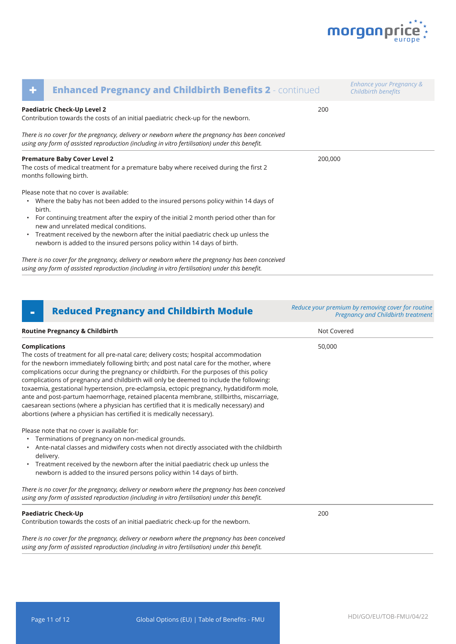

| ٠                                                                                                                                                                                                 | <b>Enhanced Pregnancy and Childbirth Benefits 2 - continued</b>                                                                                                                                                                                                     |         | Enhance your Pregnancy &<br>Childbirth benefits |
|---------------------------------------------------------------------------------------------------------------------------------------------------------------------------------------------------|---------------------------------------------------------------------------------------------------------------------------------------------------------------------------------------------------------------------------------------------------------------------|---------|-------------------------------------------------|
|                                                                                                                                                                                                   | Paediatric Check-Up Level 2<br>Contribution towards the costs of an initial paediatric check-up for the newborn.                                                                                                                                                    | 200     |                                                 |
| There is no cover for the pregnancy, delivery or newborn where the pregnancy has been conceived<br>using any form of assisted reproduction (including in vitro fertilisation) under this benefit. |                                                                                                                                                                                                                                                                     |         |                                                 |
|                                                                                                                                                                                                   | <b>Premature Baby Cover Level 2</b><br>The costs of medical treatment for a premature baby where received during the first 2<br>months following birth.                                                                                                             | 200,000 |                                                 |
| birth.                                                                                                                                                                                            | Please note that no cover is available:<br>• Where the baby has not been added to the insured persons policy within 14 days of<br>• For continuing treatment after the expiry of the initial 2 month period other than for<br>new and unrelated medical conditions. |         |                                                 |
|                                                                                                                                                                                                   | • Treatment received by the newborn after the initial paediatric check up unless the<br>newborn is added to the insured persons policy within 14 days of birth.                                                                                                     |         |                                                 |
|                                                                                                                                                                                                   | There is no cover for the pregnancy, delivery or newborn where the pregnancy has been conceived                                                                                                                                                                     |         |                                                 |

*using any form of assisted reproduction (including in vitro fertilisation) under this benefit.* 

### **- Reduced Pregnancy and Childbirth Module** *Reduce your premium by removing cover for routine*

### **Routine Pregnancy & Childbirth Not Covered Not Covered Not Covered Not Covered Complications** The costs of treatment for all pre-natal care; delivery costs; hospital accommodation for the newborn immediately following birth; and post natal care for the mother, where complications occur during the pregnancy or childbirth. For the purposes of this policy complications of pregnancy and childbirth will only be deemed to include the following: toxaemia, gestational hypertension, pre-eclampsia, ectopic pregnancy, hydatidiform mole, ante and post-partum haemorrhage, retained placenta membrane, stillbirths, miscarriage, caesarean sections (where a physician has certified that it is medically necessary) and abortions (where a physician has certified it is medically necessary). Please note that no cover is available for: • Terminations of pregnancy on non-medical grounds. • Ante-natal classes and midwifery costs when not directly associated with the childbirth delivery. • Treatment received by the newborn after the initial paediatric check up unless the newborn is added to the insured persons policy within 14 days of birth. *There is no cover for the pregnancy, delivery or newborn where the pregnancy has been conceived using any form of assisted reproduction (including in vitro fertilisation) under this benefit.*  50,000 **Paediatric Check-Up** Contribution towards the costs of an initial paediatric check-up for the newborn. *There is no cover for the pregnancy, delivery or newborn where the pregnancy has been conceived*  200 *Pregnancy and Childbirth treatment*

*using any form of assisted reproduction (including in vitro fertilisation) under this benefit.*